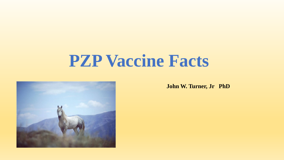# **PZP Vaccine Facts**



**John W. Turner, Jr PhD**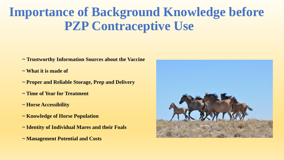# **Importance of Background Knowledge before PZP Contraceptive Use**

- **~ Trustworthy Information Sources about the Vaccine**
- **~ What it is made of**
- **~ Proper and Reliable Storage, Prep and Delivery**
- **~ Time of Year for Treatment**
- **~ Horse Accessibility**
- **~ Knowledge of Horse Population**
- **~ Identity of Individual Mares and their Foals**
- **~ Management Potential and Costs**

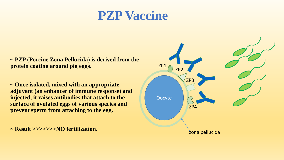## **PZP Vaccine**

**~ PZP (Porcine Zona Pellucida) is derived from the protein coating around pig eggs.**

**~ Once isolated, mixed with an appropriate adjuvant (an enhancer of immune response) and injected, it raises antibodies that attach to the surface of ovulated eggs of various species and prevent sperm from attaching to the egg.** 

**~ Result >>>>>>>NO fertilization.**

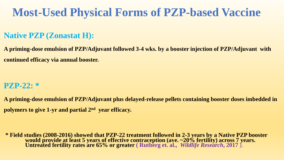### **Most-Used Physical Forms of PZP-based Vaccine**

### **Native PZP (Zonastat H):**

**A priming-dose emulsion of PZP/Adjuvant followed 3-4 wks. by a booster injection of PZP/Adjuvant with continued efficacy via annual booster.**

### **PZP-22: \***

**A priming-dose emulsion of PZP/Adjuvant plus delayed-release pellets containing booster doses imbedded in polymers to give 1-yr and partial 2nd year efficacy.**

**\* Field studies (2008-2016) showed that PZP-22 treatment followed in 2-3 years by a Native PZP booster would provide at least 5 years of effective contraception (ave. ~20% fertility) across 7 years. Untreated fertility rates are 65% or greater ( Rutberg et. al.,** *Wildlife Research***, 2017** ).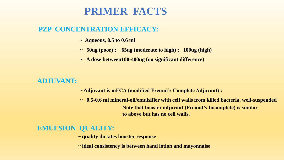### **PRIMER FACTS**

### **PZP CONCENTRATION EFFICACY:**

- **~ Aqueous, 0.5 to 0.6 ml**
- **~ 50ug (poor) ; 65ug (moderate to high) ; 100ug (high)**
- **~ A dose between100-400ug (no significant difference)**

### **ADJUVANT:**

- **~ Adjuvant is mFCA (modified Freund's Complete Adjuvant) :**
- **~ 0.5-0.6 ml mineral-oil/emulsifier with cell walls from killed bacteria, well-suspended Note that booster adjuvant (Freund's Incomplete) is similar to above but has no cell walls.**

### **EMULSION QUALITY:**

- **~ quality dictates booster response**
- **~ ideal consistency is between hand lotion and mayonnaise**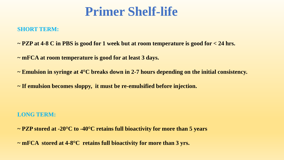## **Primer Shelf-life**

#### **SHORT TERM:**

- **~ PZP at 4-8 C in PBS is good for 1 week but at room temperature is good for < 24 hrs.**
- **~ mFCA at room temperature is good for at least 3 days.**
- **~ Emulsion in syringe at 4°C breaks down in 2-7 hours depending on the initial consistency.**
- **~ If emulsion becomes sloppy, it must be re-emulsified before injection.**

#### **LONG TERM:**

- **~ PZP stored at -20°C to -40°C retains full bioactivity for more than 5 years**
- **~ mFCA stored at 4-8°C retains full bioactivity for more than 3 yrs.**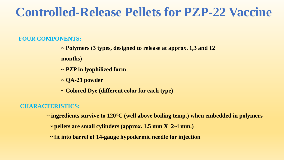## **Controlled-Release Pellets for PZP-22 Vaccine**

#### **FOUR COMPONENTS:**

**~ Polymers (3 types, designed to release at approx. 1,3 and 12 months)**

- **~ PZP in lyophilized form**
- **~ QA-21 powder**
- **~ Colored Dye (different color for each type)**

#### **CHARACTERISTICS:**

- **~ ingredients survive to 120°C (well above boiling temp.) when embedded in polymers**
	- **~ pellets are small cylinders (approx. 1.5 mm X 2-4 mm.)**
	- **~ fit into barrel of 14-gauge hypodermic needle for injection**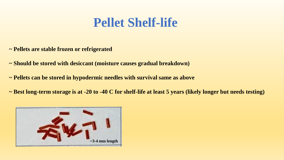## **Pellet Shelf-life**

- **~ Pellets are stable frozen or refrigerated**
- **~ Should be stored with desiccant (moisture causes gradual breakdown)**
- **~ Pellets can be stored in hypodermic needles with survival same as above**
- **~ Best long-term storage is at -20 to -40 C for shelf-life at least 5 years (likely longer but needs testing)**

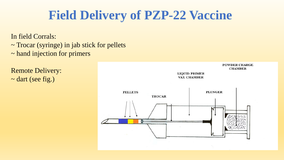## **Field Delivery of PZP-22 Vaccine**

In field Corrals:

- ~ Trocar (syringe) in jab stick for pellets
- ~ hand injection for primers

Remote Delivery:  $\sim$  dart (see fig.)

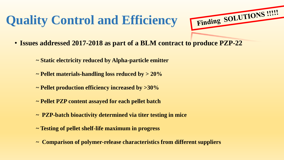# **Quality Control and Efficiency**

• **Issues addressed 2017-2018 as part of a BLM contract to produce PZP-22**

Finding SOLUTIONS !!!!!

- **~ Static electricity reduced by Alpha-particle emitter**
- **~ Pellet materials-handling loss reduced by > 20%**
- **~ Pellet production efficiency increased by >30%**
- **~ Pellet PZP content assayed for each pellet batch**
- **~ PZP-batch bioactivity determined via titer testing in mice**
- **~ Testing of pellet shelf-life maximum in progress**
- **~ Comparison of polymer-release characteristics from different suppliers**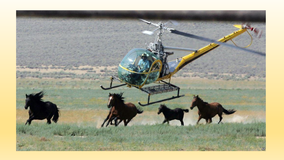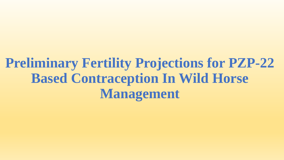# **Preliminary Fertility Projections for PZP-22 Based Contraception In Wild Horse Management**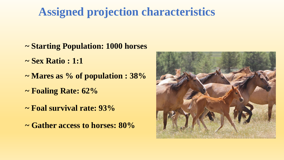### **Assigned projection characteristics**

- **~ Starting Population: 1000 horses**
- **~ Sex Ratio : 1:1**
- **~ Mares as % of population : 38%**
- **~ Foaling Rate: 62%**
- **~ Foal survival rate: 93%**
- **~ Gather access to horses: 80%**

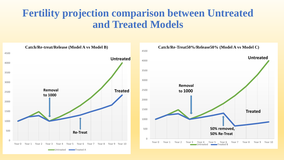### **Fertility projection comparison between Untreated and Treated Models**

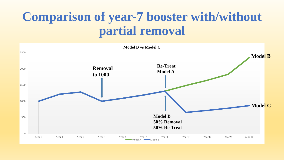# **Comparison of year-7 booster with/without partial removal**

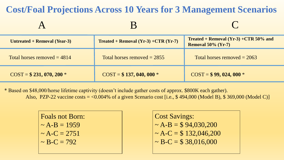### **Cost/Foal Projections Across 10 Years for 3 Management Scenarios**

| <b>Untreated + Removal (Year-3)</b> | <b>Treated + Removal <math>(Yr-3)</math> +CTR <math>(Yr-7)</math></b> | Treated + Removal $(Yr-3)$ +CTR 50% and<br><b>Removal 50% (Yr-7)</b> |
|-------------------------------------|-----------------------------------------------------------------------|----------------------------------------------------------------------|
| Total horses removed $= 4814$       | Total horses removed $= 2855$                                         | Total horses removed $= 2063$                                        |
| $COST = $231,070,200*$              | $COST = $137,040,000*$                                                | $COST = $ 99, 024, 000 *$                                            |

\* Based on \$48,000/horse lifetime captivity (doesn't include gather costs of approx. \$800K each gather). Also, PZP-22 vaccine costs  $=$  <0.004% of a given Scenario cost [i.e., \$494,000 (Model B), \$369,000 (Model C)]

| <b>Foals not Born:</b> |
|------------------------|
| $\sim$ A-B = 1959      |
| $\sim$ A-C = 2751      |
| $\sim$ B-C = 792       |
|                        |

Cost Savings:  $\sim$  A-B = \$94,030,200  $\sim$  A-C = \$ 132,046,200  $\sim$  B-C = \$ 38,016,000